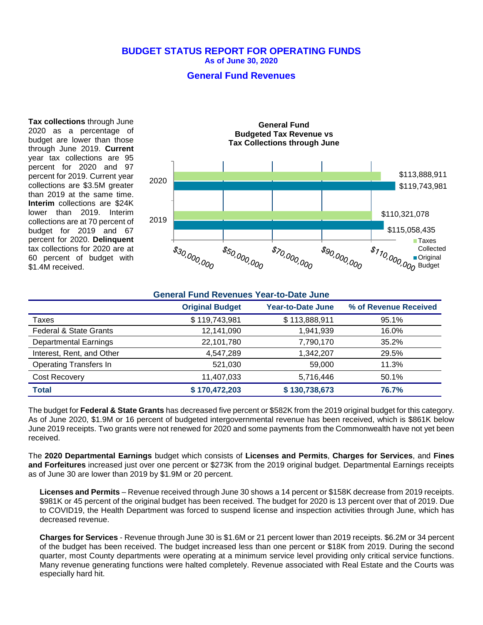#### **BUDGET STATUS REPORT FOR OPERATING FUNDS As of June 30, 2020**

## **General Fund Revenues**

**Tax collections** through June 2020 as a percentage of budget are lower than those through June 2019. **Current** year tax collections are 95 percent for 2020 and 97 percent for 2019. Current year collections are \$3.5M greater than 2019 at the same time. **Interim** collections are \$24K lower than 2019. Interim collections are at 70 percent of budget for 2019 and 67 percent for 2020. **Delinquent** tax collections for 2020 are at 60 percent of budget with \$1.4M received.



| <b>General Fund Revenues Year-to-Date June</b> |                        |                   |                       |
|------------------------------------------------|------------------------|-------------------|-----------------------|
|                                                | <b>Original Budget</b> | Year-to-Date June | % of Revenue Received |
| Taxes                                          | \$119,743,981          | \$113,888,911     | 95.1%                 |
| <b>Federal &amp; State Grants</b>              | 12,141,090             | 1,941,939         | 16.0%                 |
| <b>Departmental Earnings</b>                   | 22,101,780             | 7,790,170         | 35.2%                 |
| Interest, Rent, and Other                      | 4,547,289              | 1,342,207         | 29.5%                 |
| <b>Operating Transfers In</b>                  | 521,030                | 59,000            | 11.3%                 |
| Cost Recovery                                  | 11,407,033             | 5,716,446         | 50.1%                 |
| <b>Total</b>                                   | \$170,472,203          | \$130,738,673     | 76.7%                 |

The budget for **Federal & State Grants** has decreased five percent or \$582K from the 2019 original budget for this category. As of June 2020, \$1.9M or 16 percent of budgeted intergovernmental revenue has been received, which is \$861K below June 2019 receipts. Two grants were not renewed for 2020 and some payments from the Commonwealth have not yet been received.

The **2020 Departmental Earnings** budget which consists of **Licenses and Permits**, **Charges for Services**, and **Fines and Forfeitures** increased just over one percent or \$273K from the 2019 original budget. Departmental Earnings receipts as of June 30 are lower than 2019 by \$1.9M or 20 percent.

**Licenses and Permits** – Revenue received through June 30 shows a 14 percent or \$158K decrease from 2019 receipts. \$981K or 45 percent of the original budget has been received. The budget for 2020 is 13 percent over that of 2019. Due to COVID19, the Health Department was forced to suspend license and inspection activities through June, which has decreased revenue.

**Charges for Services** - Revenue through June 30 is \$1.6M or 21 percent lower than 2019 receipts. \$6.2M or 34 percent of the budget has been received. The budget increased less than one percent or \$18K from 2019. During the second quarter, most County departments were operating at a minimum service level providing only critical service functions. Many revenue generating functions were halted completely. Revenue associated with Real Estate and the Courts was especially hard hit.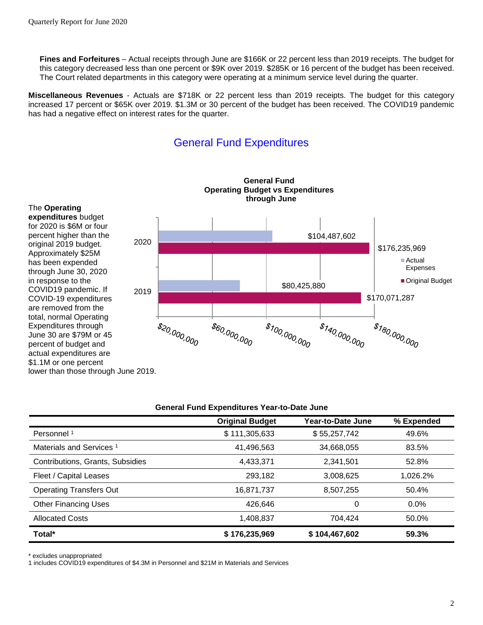**Fines and Forfeitures** – Actual receipts through June are \$166K or 22 percent less than 2019 receipts. The budget for this category decreased less than one percent or \$9K over 2019. \$285K or 16 percent of the budget has been received. The Court related departments in this category were operating at a minimum service level during the quarter.

**Miscellaneous Revenues** - Actuals are \$718K or 22 percent less than 2019 receipts. The budget for this category increased 17 percent or \$65K over 2019. \$1.3M or 30 percent of the budget has been received. The COVID19 pandemic has had a negative effect on interest rates for the quarter.

# General Fund Expenditures



| General Fund Expenditures Tear-to-Date June |                        |                   |            |  |  |  |
|---------------------------------------------|------------------------|-------------------|------------|--|--|--|
|                                             | <b>Original Budget</b> | Year-to-Date June | % Expended |  |  |  |
| Personnel <sup>1</sup>                      | \$111,305,633          | \$55,257,742      | 49.6%      |  |  |  |
| Materials and Services <sup>1</sup>         | 41,496,563             | 34,668,055        | 83.5%      |  |  |  |
| Contributions, Grants, Subsidies            | 4,433,371              | 2,341,501         | 52.8%      |  |  |  |
| Fleet / Capital Leases                      | 293.182                | 3,008,625         | 1,026.2%   |  |  |  |
| <b>Operating Transfers Out</b>              | 16,871,737             | 8,507,255         | 50.4%      |  |  |  |
| <b>Other Financing Uses</b>                 | 426.646                | 0                 | $0.0\%$    |  |  |  |
| <b>Allocated Costs</b>                      | 1,408,837              | 704.424           | 50.0%      |  |  |  |
| Total*                                      | \$176,235,969          | \$104,467,602     | 59.3%      |  |  |  |

**General Fund Expenditures Year-to-Date June**

\* excludes unappropriated

1 includes COVID19 expenditures of \$4.3M in Personnel and \$21M in Materials and Services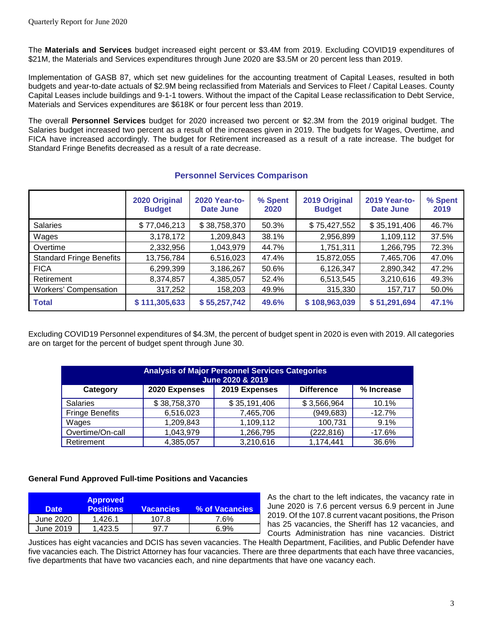The **Materials and Services** budget increased eight percent or \$3.4M from 2019. Excluding COVID19 expenditures of \$21M, the Materials and Services expenditures through June 2020 are \$3.5M or 20 percent less than 2019.

Implementation of GASB 87, which set new guidelines for the accounting treatment of Capital Leases, resulted in both budgets and year-to-date actuals of \$2.9M being reclassified from Materials and Services to Fleet / Capital Leases. County Capital Leases include buildings and 9-1-1 towers. Without the impact of the Capital Lease reclassification to Debt Service, Materials and Services expenditures are \$618K or four percent less than 2019.

The overall **Personnel Services** budget for 2020 increased two percent or \$2.3M from the 2019 original budget. The Salaries budget increased two percent as a result of the increases given in 2019. The budgets for Wages, Overtime, and FICA have increased accordingly. The budget for Retirement increased as a result of a rate increase. The budget for Standard Fringe Benefits decreased as a result of a rate decrease.

|                                 | 2020 Original<br><b>Budget</b> | 2020 Year-to-<br>Date June | % Spent<br>2020 | 2019 Original<br><b>Budget</b> | 2019 Year-to-<br>Date June | % Spent<br>2019 |
|---------------------------------|--------------------------------|----------------------------|-----------------|--------------------------------|----------------------------|-----------------|
| <b>Salaries</b>                 | \$77,046,213                   | \$38,758,370               | 50.3%           | \$75,427,552                   | \$35,191,406               | 46.7%           |
| Wages                           | 3,178,172                      | 1,209,843                  | 38.1%           | 2,956,899                      | 1,109,112                  | 37.5%           |
| Overtime                        | 2,332,956                      | 1,043,979                  | 44.7%           | 1,751,311                      | 1,266,795                  | 72.3%           |
| <b>Standard Fringe Benefits</b> | 13,756,784                     | 6,516,023                  | 47.4%           | 15,872,055                     | 7,465,706                  | 47.0%           |
| <b>FICA</b>                     | 6,299,399                      | 3,186,267                  | 50.6%           | 6,126,347                      | 2,890,342                  | 47.2%           |
| Retirement                      | 8,374,857                      | 4,385,057                  | 52.4%           | 6,513,545                      | 3,210,616                  | 49.3%           |
| <b>Workers' Compensation</b>    | 317,252                        | 158,203                    | 49.9%           | 315,330                        | 157,717                    | 50.0%           |
| <b>Total</b>                    | \$111,305,633                  | \$55,257,742               | 49.6%           | \$108,963,039                  | \$51,291,694               | 47.1%           |

### **Personnel Services Comparison**

Excluding COVID19 Personnel expenditures of \$4.3M, the percent of budget spent in 2020 is even with 2019. All categories are on target for the percent of budget spent through June 30.

| <b>Analysis of Major Personnel Services Categories</b><br>June 2020 & 2019 |               |               |                   |            |
|----------------------------------------------------------------------------|---------------|---------------|-------------------|------------|
| Category                                                                   | 2020 Expenses | 2019 Expenses | <b>Difference</b> | % Increase |
| <b>Salaries</b>                                                            | \$38,758,370  | \$35,191,406  | \$3,566,964       | 10.1%      |
| <b>Fringe Benefits</b>                                                     | 6,516,023     | 7,465,706     | (949, 683)        | $-12.7%$   |
| Wages                                                                      | 1,209,843     | 1,109,112     | 100,731           | 9.1%       |
| Overtime/On-call                                                           | 1,043,979     | 1,266,795     | (222, 816)        | $-17.6%$   |
| Retirement                                                                 | 4,385,057     | 3,210,616     | 1,174,441         | 36.6%      |

#### **General Fund Approved Full-time Positions and Vacancies**

| <b>Date</b> | <b>Approved</b><br><b>Positions</b> | <b>Vacancies</b> | % of Vacancies |
|-------------|-------------------------------------|------------------|----------------|
| June 2020   | 1.426.1                             | 107.8            | 7.6%           |
| June 2019   | 1.423.5                             | -97 Z            | 6.9%           |

As the chart to the left indicates, the vacancy rate in June 2020 is 7.6 percent versus 6.9 percent in June 2019. Of the 107.8 current vacant positions, the Prison has 25 vacancies, the Sheriff has 12 vacancies, and Courts Administration has nine vacancies. District

Justices has eight vacancies and DCIS has seven vacancies. The Health Department, Facilities, and Public Defender have five vacancies each. The District Attorney has four vacancies. There are three departments that each have three vacancies, five departments that have two vacancies each, and nine departments that have one vacancy each.